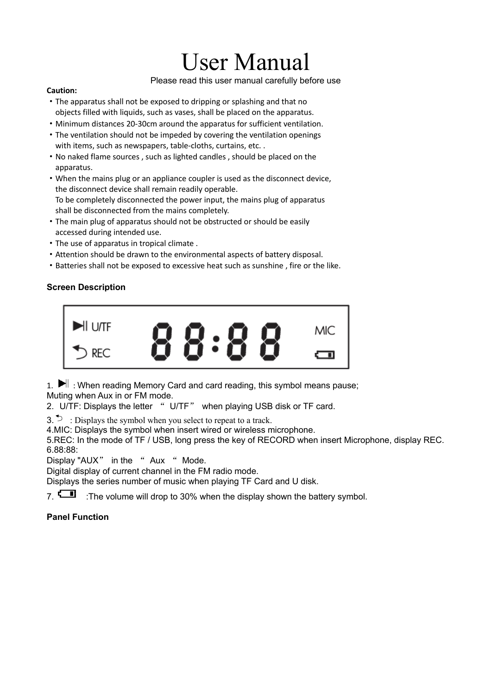# User Manual

Please read this user manual carefully before use

#### **Caution:**

- ·The apparatus shall not be exposed to dripping or splashing and that no objects filled with liquids, such as vases, shall be placed on the apparatus.
- ·Minimum distances 20-30cm around the apparatus for sufficient ventilation.
- ·The ventilation should not be impeded by covering the ventilation openings with items, such as newspapers, table-cloths, curtains, etc..
- ·No naked flame sources , such as lighted candles , should be placed on the apparatus.
- ·When the mains plug or an appliance coupler is used as the disconnect device, the disconnect device shall remain readily operable.
- To be completely disconnected the power input, the mains plug of apparatus shall be disconnected from the mains completely.
- ·The main plug of apparatus should not be obstructed or should be easily accessed during intended use.
- ·The use of apparatus in tropical climate .
- ·Attention should be drawn to the environmental aspects of battery disposal.
- ·Batteries shall not be exposed to excessive heat such as sunshine , fire or the like.

# **Screen Description**



1.  $\blacktriangleright$  : When reading Memory Card and card reading, this symbol means pause; Muting when Aux in or FM mode.

2. U/TF: Displays the letter " U/TF" when playing USB disk or TF card.

3.  $\triangleright$  : Displays the symbol when you select to repeat to a track.

4.MIC: Displays the symbol when insert wired or wireless microphone.

5.REC: In the mode of TF / USB, long press the key of RECORD when insert Microphone, display REC. 6.88:88:

Display "AUX" in the " Aux " Mode.

Digital display of current channel in the FM radio mode.

Displays the series number of music when playing TF Card and U disk.

7.  $\Box$  :The volume will drop to 30% when the display shown the battery symbol.

# **Panel Function**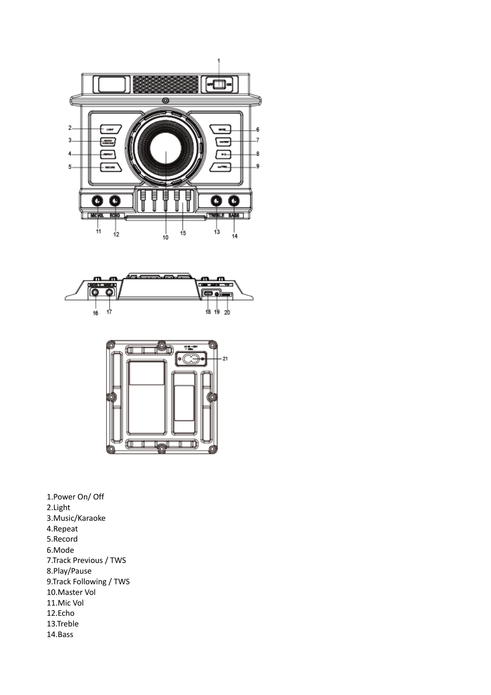





1.Power On/ Off 2.Light 3.Music/Karaoke 4.Repeat 5.Record 6.Mode 7.Track Previous / TWS 8.Play/Pause 9.Track Following / TWS 10.Master Vol 11.Mic Vol 12.Echo 13.Treble 14.Bass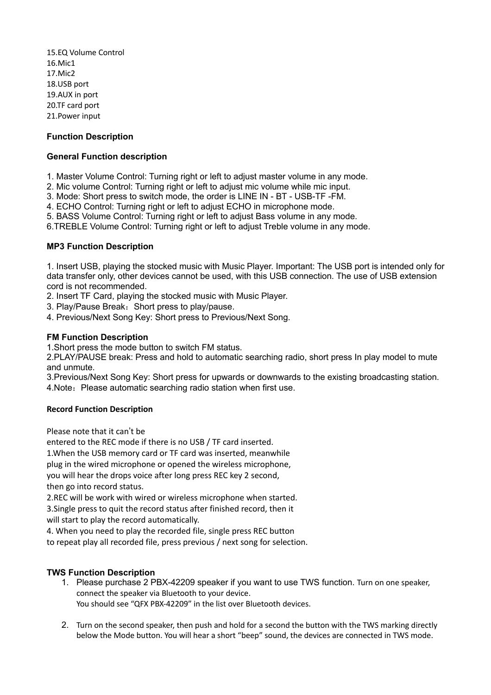15.EQ Volume Control 16.Mic1 17.Mic2 18.USB port 19.AUX in port 20.TF card port 21.Power input

## **Function Description**

## **General Function description**

- 1. Master Volume Control: Turning right or left to adjust master volume in any mode.
- 2. Mic volume Control: Turning right or left to adjust mic volume while mic input.
- 3. Mode: Short press to switch mode, the order is LINE IN BT USB-TF -FM.
- 4. ECHO Control: Turning right or left to adjust ECHO in microphone mode.
- 5. BASS Volume Control: Turning right or left to adjust Bass volume in any mode.
- 6.TREBLE Volume Control: Turning right or left to adjust Treble volume in any mode.

### **MP3 Function Description**

1. Insert USB, playing the stocked music with Music Player. Important: The USB port is intended only for data transfer only, other devices cannot be used, with this USB connection. The use of USB extension cord is not recommended.

- 2. Insert TF Card, playing the stocked music with Music Player.
- 3. Play/Pause Break: Short press to play/pause.
- 4. Previous/Next Song Key: Short press to Previous/Next Song.

### **FM Function Description**

1.Short press the mode button to switch FM status.

2.PLAY/PAUSE break: Press and hold to automatic searching radio, short press In play model to mute and unmute.

3.Previous/Next Song Key: Short press for upwards or downwards to the existing broadcasting station. 4. Note: Please automatic searching radio station when first use.

#### **Record Function Description**

Please note that it can't be

entered to the REC mode if there is no USB / TF card inserted.

1.When the USB memory card or TF card was inserted, meanwhile

plug in the wired microphone or opened the wireless microphone,

you will hear the drops voice after long press REC key 2 second, then go into record status.

2.REC will be work with wired or wireless microphone when started.

3.Single press to quit the record status after finished record, then it will start to play the record automatically.

4. When you need to play the recorded file, single press REC button

to repeat play all recorded file, press previous / next song for selection.

## **TWS Function Description**

- 1. Please purchase 2 PBX-42209 speaker if you want to use TWS function. Turn on one speaker, connect the speaker via Bluetooth to your device. You should see "QFX PBX-42209" in the list over Bluetooth devices.
- 2. Turn on the second speaker, then push and hold for a second the button with the TWS marking directly below the Mode button. You will hear a short "beep" sound, the devices are connected in TWS mode.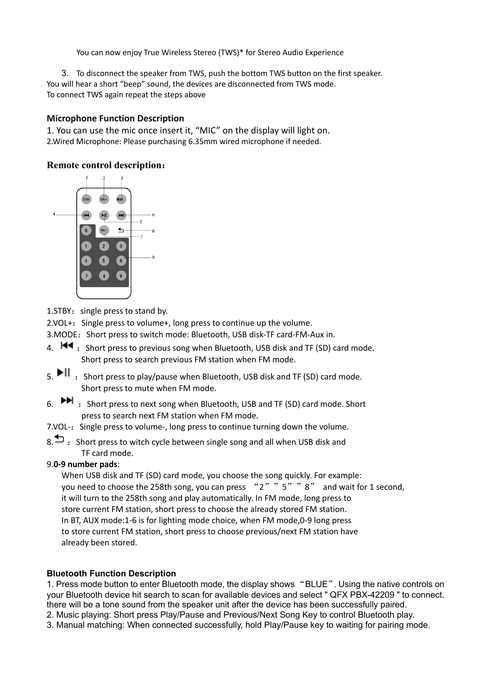You can now enjoy True Wireless Stereo (TWS)\* for Stereo Audio Experience

3. To disconnect the speaker from TWS, push the bottom TWS button on the first speaker. You will hear a short "beep" sound, the devices are disconnected from TWS mode. To connect TWS again repeat the steps above

## **Microphone Function Description**

1. You can use the mic once insert it, "MIC" on the display will light on. 2.Wired Microphone: Please purchasing 6.35mm wired microphone if needed.

## **Remote control description**:



1. STBY: single press to stand by.

2.VOL<sup>+</sup>: Single press to volume+, long press to continue up the volume.

- 3. MODE: Short press to switch mode: Bluetooth, USB disk-TF card-FM-Aux in.
- 4.  $\overline{\mathsf{H}}$   $\bullet$  : Short press to previous song when Bluetooth, USB disk and TF (SD) card mode. Short press to search previous FM station when FM mode.
- 5.  $\blacktriangleright$  II : Short press to play/pause when Bluetooth, USB disk and TF (SD) card mode. Short press to mute when FM mode.
- 6.  $\blacktriangleright\blacktriangleright$  : Short press to next song when Bluetooth, USB and TF (SD) card mode. Short press to search next FM station when FM mode.
- 7.VOL-: Single press to volume-, long press to continue turning down the volume.
- 8.  $\Box$  : Short press to witch cycle between single song and all when USB disk and TF card mode.

## 9.**0-9 number pads**:

When USB disk and TF (SD) card mode, you choose the song quickly. For example: you need to choose the 258th song, you can press "2" "5" "8" and wait for 1 second, it will turn to the 258th song and play automatically. In FM mode, long press to store current FM station, short press to choose the already stored FM station. In BT, AUX mode:1-6 is for lighting mode choice, when FM mode,0-9 long press to store current FM station, short press to choose previous/next FM station have already been stored.

## **Bluetooth Function Description**

1. Press mode button to enter Bluetooth mode, the display shows "BLUE". Using the native controls on your Bluetooth device hit search to scan for available devices and select " QFX PBX-42209 " to connect. there will be a tone sound from the speaker unit after the device has been successfully paired.

2. Music playing: Short press Play/Pause and Previous/Next Song Key to control Bluetooth play.

3. Manual matching: When connected successfully, hold Play/Pause key to waiting for pairing mode.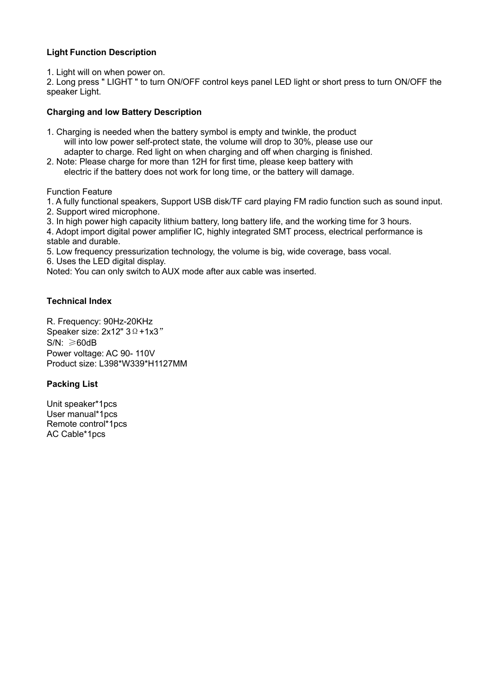## **Light Function Description**

1. Light will on when power on.

2. Long press " LIGHT " to turn ON/OFF control keys panel LED light or short press to turn ON/OFF the speaker Light.

## **Charging and low Battery Description**

- 1. Charging is needed when the battery symbol is empty and twinkle, the product will into low power self-protect state, the volume will drop to 30%, please use our adapter to charge. Red light on when charging and off when charging is finished.
- 2. Note: Please charge for more than 12H for first time, please keep battery with electric if the battery does not work for long time, or the battery will damage.

Function Feature

1. A fully functional speakers, Support USB disk/TF card playing FM radio function such as sound input.

- 2. Support wired microphone.
- 3. In high power high capacity lithium battery, long battery life, and the working time for 3 hours.

4. Adopt import digital power amplifier IC, highly integrated SMT process, electrical performance is stable and durable.

5. Low frequency pressurization technology, the volume is big, wide coverage, bass vocal.

6. Uses the LED digital display.

Noted: You can only switch to AUX mode after aux cable was inserted.

## **Technical Index**

R. Frequency: 90Hz-20KHz Speaker size: 2x12" 3 Ω +1x3" S/N: ≥60dB Power voltage: AC 90- 110V Product size: L398\*W339\*H1127MM

## **Packing List**

Unit speaker\*1pcs User manual\*1pcs Remote control\*1pcs AC Cable\*1pcs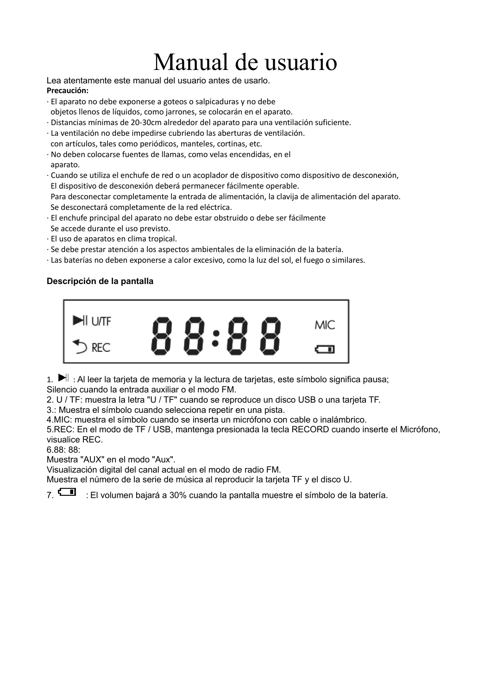# Manual de usuario

Lea atentamente este manual del usuario antes de usarlo. **Precaución:**

- · El aparato no debe exponerse a goteos o salpicaduras y no debe objetos llenos de líquidos, como jarrones, se colocarán en el aparato.
- · Distancias mínimas de 20-30cm alrededor del aparato para una ventilación suficiente.
- · La ventilación no debe impedirse cubriendo las aberturas de ventilación. con artículos, tales como periódicos, manteles, cortinas, etc.
- · No deben colocarse fuentes de llamas, como velas encendidas, en el aparato.
- · Cuando se utiliza el enchufe de red o un acoplador de dispositivo como dispositivo de desconexión, El dispositivo de desconexión deberá permanecer fácilmente operable.

Para desconectar completamente la entrada de alimentación, la clavija de alimentación del aparato. Se desconectará completamente de la red eléctrica.

- · El enchufe principal del aparato no debe estar obstruido o debe ser fácilmente
- Se accede durante el uso previsto. · El uso de aparatos en clima tropical.
- · Se debe prestar atención a los aspectos ambientales de la eliminación de la batería.
- · Las baterías no deben exponerse a calor excesivo, como la luz del sol, el fuego o similares.

# **Descripción de la pantalla**



1.  $\blacktriangleright$  : Al leer la tarjeta de memoria y la lectura de tarjetas, este símbolo significa pausa; Silencio cuando la entrada auxiliar o el modo FM.

2. U / TF: muestra la letra "U / TF" cuando se reproduce un disco USB o una tarjeta TF.

3.: Muestra el símbolo cuando selecciona repetir en una pista.

4.MIC: muestra el símbolo cuando se inserta un micrófono con cable o inalámbrico.

5.REC: En el modo de TF / USB, mantenga presionada la tecla RECORD cuando inserte el Micrófono, visualice REC.

6.88: 88:

Muestra "AUX" en el modo "Aux".

Visualización digital del canal actual en el modo de radio FM.

Muestra el número de la serie de música al reproducir la tarjeta TF y el disco U.

7. : El volumen bajará a 30% cuando la pantalla muestre el símbolo de la batería.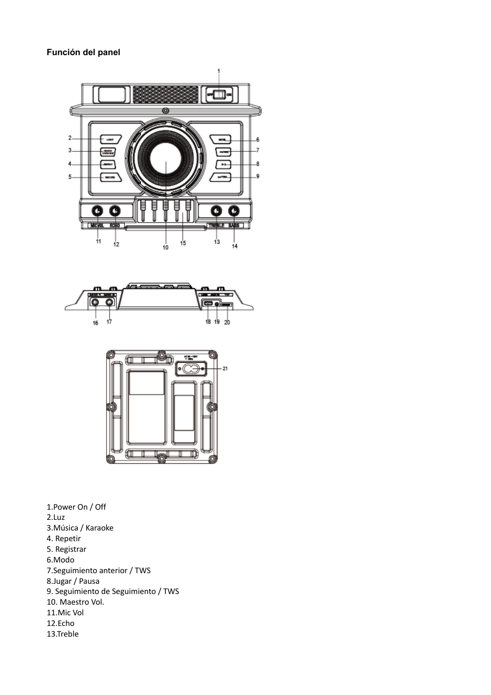## **Función del panel**





1.Power On / Off 2.Luz 3.Música / Karaoke 4. Repetir 5. Registrar 6.Modo 7.Seguimiento anterior / TWS 8.Jugar / Pausa 9. Seguimiento de Seguimiento / TWS 10. Maestro Vol. 11.Mic Vol 12.Echo 13.Treble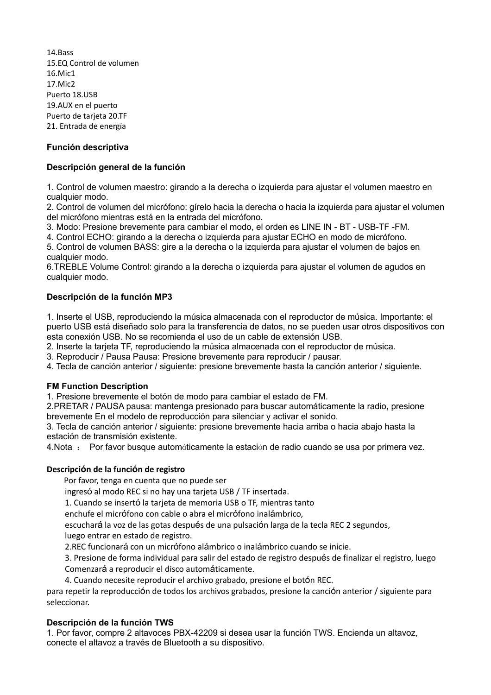14.Bass 15.EQ Control de volumen 16.Mic1 17.Mic2 Puerto 18.USB 19.AUX en el puerto Puerto de tarjeta 20.TF 21. Entrada de energía

## **Función descriptiva**

## **Descripción general de la función**

1. Control de volumen maestro: girando a la derecha o izquierda para ajustar el volumen maestro en cualquier modo.

2. Control de volumen del micrófono: gírelo hacia la derecha o hacia la izquierda para ajustar el volumen del micrófono mientras está en la entrada del micrófono.

3. Modo: Presione brevemente para cambiar el modo, el orden es LINE IN - BT - USB-TF -FM.

4. Control ECHO: girando a la derecha o izquierda para ajustar ECHO en modo de micrófono.

5. Control de volumen BASS: gire a la derecha o la izquierda para ajustar el volumen de bajos en cualquier modo.

6.TREBLE Volume Control: girando a la derecha o izquierda para ajustar el volumen de agudos en cualquier modo.

### **Descripción de la función MP3**

1. Inserte el USB, reproduciendo la música almacenada con el reproductor de música. Importante: el puerto USB está diseñado solo para la transferencia de datos, no se pueden usar otros dispositivos con esta conexión USB. No se recomienda el uso de un cable de extensión USB.

2. Inserte la tarjeta TF, reproduciendo la música almacenada con el reproductor de música.

3. Reproducir / Pausa Pausa: Presione brevemente para reproducir / pausar.

4. Tecla de canción anterior / siguiente: presione brevemente hasta la canción anterior / siguiente.

#### **FM Function Description**

1. Presione brevemente el botón de modo para cambiar el estado de FM.

2.PRETAR / PAUSA pausa: mantenga presionado para buscar automáticamente la radio, presione brevemente En el modelo de reproducción para silenciar y activar el sonido.

3. Tecla de canción anterior / siguiente: presione brevemente hacia arriba o hacia abajo hasta la estación de transmisión existente.

4.Nota : Por favor busque automáticamente la estación de radio cuando se usa por primera vez.

## **Descripción de la función de registro**

Por favor, tenga en cuenta que no puede ser

ingresó al modo REC si no hay una tarjeta USB / TF insertada.

1. Cuando se insertó la tarjeta de memoria USB o TF, mientras tanto

enchufe el micrófono con cable o abra el micrófono inalámbrico,

escuchará la voz de las gotas después de una pulsación larga de la tecla REC 2 segundos, luego entrar en estado de registro.

2.REC funcionará con un micrófono alámbrico o inalámbrico cuando se inicie.

3. Presione de forma individual para salir del estado de registro después de finalizar el registro, luego Comenzará a reproducir el disco automáticamente.

4. Cuando necesite reproducir el archivo grabado, presione el botón REC.

para repetir la reproducción de todos los archivos grabados, presione la canción anterior / siguiente para seleccionar.

#### **Descripción de la función TWS**

1. Por favor, compre 2 altavoces PBX-42209 si desea usar la función TWS. Encienda un altavoz, conecte el altavoz a través de Bluetooth a su dispositivo.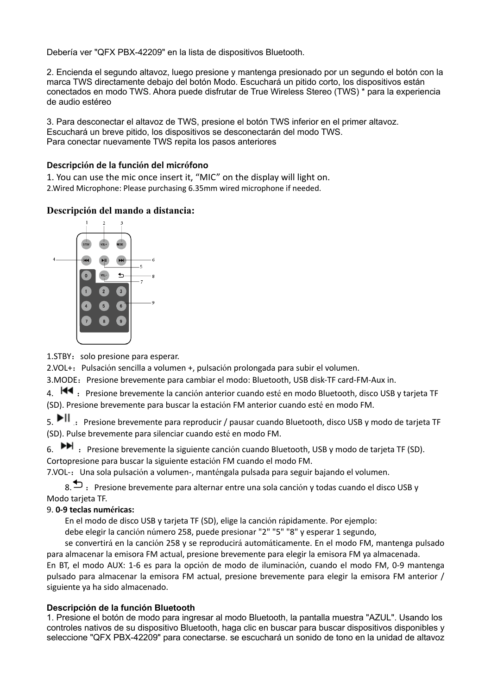Debería ver "QFX PBX-42209" en la lista de dispositivos Bluetooth.

2. Encienda el segundo altavoz, luego presione y mantenga presionado por un segundo el botón con la marca TWS directamente debajo del botón Modo. Escuchará un pitido corto, los dispositivos están conectados en modo TWS. Ahora puede disfrutar de True Wireless Stereo (TWS) \* para la experiencia de audio estéreo

3. Para desconectar el altavoz de TWS, presione el botón TWS inferior en el primer altavoz. Escuchará un breve pitido, los dispositivos se desconectarán del modo TWS. Para conectar nuevamente TWS repita los pasos anteriores

## **Descripción de la función del micrófono**

1. You can use the mic once insert it, "MIC" on the display will light on. 2.Wired Microphone: Please purchasing 6.35mm wired microphone if needed.

## **Descripción del mando a distancia:**



1.STBY: solo presione para esperar.

2.VOL+:Pulsación sencilla a volumen +, pulsación prolongada para subir el volumen.

3. MODE: Presione brevemente para cambiar el modo: Bluetooth, USB disk-TF card-FM-Aux in.

4.  $\blacksquare$ : Presione brevemente la canción anterior cuando esté en modo Bluetooth, disco USB y tarjeta TF (SD). Presione brevemente para buscar la estación FM anterior cuando esté en modo FM.

5. II : Presione brevemente para reproducir / pausar cuando Bluetooth, disco USB y modo de tarjeta TF (SD). Pulse brevemente para silenciar cuando esté en modo FM.

6.  $\blacktriangleright\blacktriangleright$  : Presione brevemente la siguiente canción cuando Bluetooth, USB y modo de tarjeta TF (SD). Cortopresione para buscar la siguiente estación FM cuando el modo FM.

7.VOL-:Una sola pulsación a volumen-, manténgala pulsada para seguir bajando el volumen.

8.  $\bullet$  : Presione brevemente para alternar entre una sola canción y todas cuando el disco USB y Modo tarjeta TF.

## 9. **0-9 teclas numéricas:**

En el modo de disco USB y tarjeta TF (SD), elige la canción rápidamente. Por ejemplo:

debe elegir la canción número 258, puede presionar "2" "5" "8" y esperar 1 segundo,

se convertirá en la canción 258 y se reproducirá automáticamente. En el modo FM, mantenga pulsado para almacenar la emisora FM actual, presione brevemente para elegir la emisora FM ya almacenada.

En BT, el modo AUX: 1-6 es para la opción de modo de iluminación, cuando el modo FM, 0-9 mantenga pulsado para almacenar la emisora FM actual, presione brevemente para elegir la emisora FM anterior / siguiente ya ha sido almacenado.

## **Descripción de la función Bluetooth**

1. Presione el botón de modo para ingresar al modo Bluetooth, la pantalla muestra "AZUL". Usando los controles nativos de su dispositivo Bluetooth, haga clic en buscar para buscar dispositivos disponibles y seleccione "QFX PBX-42209" para conectarse. se escuchará un sonido de tono en la unidad de altavoz